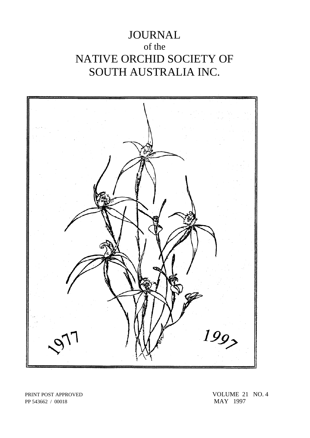# JOURNAL of the NATIVE ORCHID SOCIETY OF SOUTH AUSTRALIA INC.



PP 543662 / 00018

PRINT POST APPROVED VOLUME 21 NO. 4<br>PP 543662 / 00018 MAY 1997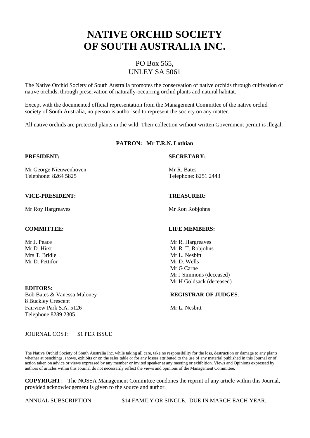# **NATIVE ORCHID SOCIETY OF SOUTH AUSTRALIA INC.**

# PO Box 565, UNLEY SA 5061

The Native Orchid Society of South Australia promotes the conservation of native orchids through cultivation of native orchids, through preservation of naturally-occurring orchid plants and natural habitat.

Except with the documented official representation from the Management Committee of the native orchid society of South Australia, no person is authorised to represent the society on any matter.

All native orchids are protected plants in the wild. Their collection without written Government permit is illegal.

# **PATRON: Mr T.R.N. Lothian**

Mr George Nieuwenhoven Mr R. Bates Telephone: 8264 5825 Telephone: 8251 2443

# **VICE-PRESIDENT: TREASURER:**

Mr Roy Hargreaves Mr Ron Robjohns

Mr D. Pettifor Mr D. Wells

## **EDITORS:**

8 Buckley Crescent Fairview Park S.A. 5126 Mr L. Nesbitt Telephone 8289 2305

# **PRESIDENT: SECRETARY:**

### **COMMITTEE: LIFE MEMBERS:**

Mr J. Peace Mr R. Hargreaves Mr D. Hirst Mr R. T. Robjohns<br>
Mr R. T. Robjohns<br>
Mr L. Nesbitt Mr L. Nesbitt Mr G Carne Mr J Simmons (deceased) Mr H Goldsack (deceased)

### Bob Bates & Vanessa Maloney **REGISTRAR OF JUDGES**:

### JOURNAL COST: \$1 PER ISSUE

The Native Orchid Society of South Australia Inc. while taking all care, take no responsibility for the loss, destruction or damage to any plants whether at benchings, shows, exhibits or on the sales table or for any losses attributed to the use of any material published in this Journal or of action taken on advice or views expressed by any member or invited speaker at any meeting or exhibition. Views and Opinions expressed by authors of articles within this Journal do not necessarily reflect the views and opinions of the Management Committee.

**COPYRIGHT**: The NOSSA Management Committee condones the reprint of any article within this Journal, provided acknowledgement is given to the source and author.

ANNUAL SUBSCRIPTION: \$14 FAMILY OR SINGLE. DUE IN MARCH EACH YEAR.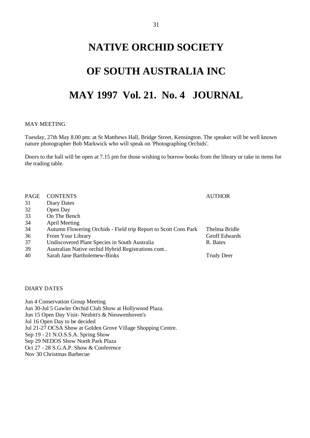# **NATIVE ORCHID SOCIETY**

# **OF SOUTH AUSTRALIA INC**

# **MAY 1997 Vol. 21. No. 4 JOURNAL**

# MAY MEETING

Tuesday, 27th May 8.00 pm: at St Matthews Hall, Bridge Street, Kensington. The speaker will be well known nature photographer Bob Markwick who will speak on 'Photographing Orchids'.

Doors to the hall will be open at 7.15 pm for those wishing to borrow books from the library or take in items for the trading table.

| PAGE | <b>CONTENTS</b>                                                 | <b>AUTHOR</b>        |
|------|-----------------------------------------------------------------|----------------------|
| 31   | Diary Dates                                                     |                      |
| 32   | Open Day                                                        |                      |
| 33   | On The Bench                                                    |                      |
| 34   | April Meeting                                                   |                      |
| 34   | Autumn Flowering Orchids - Field trip Report to Scott Cons Park | Thelma Bridle        |
| 36   | From Your Library                                               | <b>Geoff Edwards</b> |
| 37   | Undiscovered Plant Species in South Australia                   | R. Bates             |
| 39   | Australian Native orchid Hybrid Registrations cont              |                      |
| 40   | Sarah Jane Bartholemew-Binks                                    | Trudy Deer           |

DIARY DATES

Jun 4 Conservation Group Meeting Jun 30-Jul 5 Gawler Orchid Club Show at Hollywood Plaza. Jun 15 Open Day Visit- Nesbitt's & Nieuwenhoven's Jul 16 Open Day to be decided Jul 21-27 OCSA Show at Golden Grove Village Shopping Centre. Sep 19 - 21 N.O.S.S.A. Spring Show Sep 29 NEDOS Show North Park Plaza Oct 27 - 28 S.G.A.P. Show & Conference Nov 30 Christmas Barbecue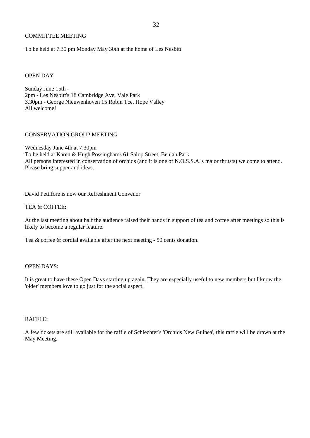# COMMITTEE MEETING

To be held at 7.30 pm Monday May 30th at the home of Les Nesbitt

# OPEN DAY

Sunday June 15th - 2pm - Les Nesbitt's 18 Cambridge Ave, Vale Park 3.30pm - George Nieuwenhoven 15 Robin Tce, Hope Valley All welcome!

# CONSERVATION GROUP MEETING

Wednesday June 4th at 7.30pm To be held at Karen & Hugh Possinghams 61 Salop Street, Beulah Park All persons interested in conservation of orchids (and it is one of N.O.S.S.A.'s major thrusts) welcome to attend. Please bring supper and ideas.

David Pettifore is now our Refreshment Convenor

# TEA & COFFEE:

At the last meeting about half the audience raised their hands in support of tea and coffee after meetings so this is likely to become a regular feature.

Tea & coffee & cordial available after the next meeting - 50 cents donation.

# OPEN DAYS:

It is great to have these Open Days starting up again. They are especially useful to new members but I know the 'older' members love to go just for the social aspect.

# RAFFLE:

A few tickets are still available for the raffle of Schlechter's 'Orchids New Guinea', this raffle will be drawn at the May Meeting.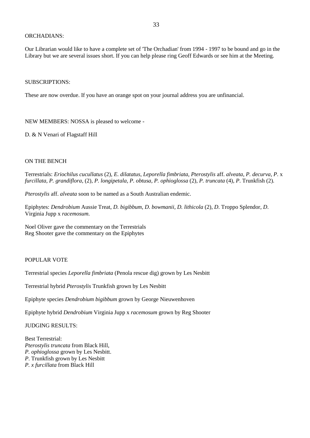# ORCHADIANS:

Our Librarian would like to have a complete set of 'The Orchadian' from 1994 - 1997 to be bound and go in the Library but we are several issues short. If you can help please ring Geoff Edwards or see him at the Meeting.

# SUBSCRIPTIONS:

These are now overdue. If you have an orange spot on your journal address you are unfinancial.

NEW MEMBERS: NOSSA is pleased to welcome -

D. & N Venari of Flagstaff Hill

# ON THE BENCH

Terrestrials: *Eriochilus cucullatus* (2), *E. dilatatus*, *Leporella fimbriata, Pterostylis* aff. *alveata*, *P. decurva, P*. x *furcillata, P. grandiflora*, (2), *P. longipetala, P. obtusa, P. ophioglossa* (2), *P. truncata* (4), *P*. Trunkfish (2).

*Pterostylis* aff. *alveata* soon to be named as a South Australian endemic.

Epiphytes: *Dendrobium* Aussie Treat, *D. bigibbum, D. bowmanii, D. lithicola* (2), *D*. Troppo Splendor, *D*. Virginia Jupp x *racemosum*.

Noel Oliver gave the commentary on the Terrestrials Reg Shooter gave the commentary on the Epiphytes

# POPULAR VOTE

Terrestrial species *Leporella fimbriata* (Penola rescue dig) grown by Les Nesbitt

Terrestrial hybrid *Pterostylis* Trunkfish grown by Les Nesbitt

Epiphyte species *Dendrobium bigibbum* grown by George Nieuwenhoven

Epiphyte hybrid *Dendrobium* Virginia Jupp x *racemosum* grown by Reg Shooter

JUDGING RESULTS:

Best Terrestrial: *Pterostylis truncata* from Black Hill, *P. ophioglossa* grown by Les Nesbitt. *P*. Trunkfish grown by Les Nesbitt *P. x furcillata* from Black Hill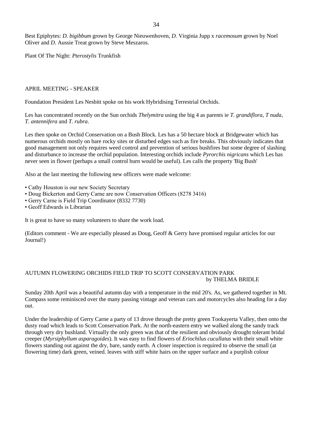Best Epiphytes: *D. bigibbum* grown by George Nieuwenhoven, *D.* Virginia Jupp x *racemosum* grown by Noel Oliver and *D*. Aussie Treat grown by Steve Meszaros.

Plant Of The Night: *Pterostylis* Trunkfish

# APRIL MEETING - SPEAKER

Foundation President Les Nesbitt spoke on his work Hybridising Terrestrial Orchids.

Les has concentrated recently on the Sun orchids *Thelymitra* using the big 4 as parents ie *T. grandiflora, T nuda*, *T. antennifera* and *T. rubra*.

Les then spoke on Orchid Conservation on a Bush Block. Les has a 50 hectare block at Bridgewater which has numerous orchids mostly on bare rocky sites or disturbed edges such as fire breaks. This obviously indicates that good management not only requires weed control and prevention of serious bushfires but some degree of slashing and disturbance to increase the orchid population. Interesting orchids include *Pyrorchis nigricans* which Les has never seen in flower (perhaps a small control burn would be useful). Les calls the property 'Big Bush'

Also at the last meeting the following new officers were made welcome:

- Cathy Houston is our new Society Secretary
- Doug Bickerton and Gerry Carne are now Conservation Officers (8278 3416)
- Gerry Carne is Field Trip Coordinator (8332 7730)
- Geoff Edwards is Librarian

It is great to have so many volunteers to share the work load.

(Editors comment - We are especially pleased as Doug, Geoff & Gerry have promised regular articles for our Journal!)

# AUTUMN FLOWERING ORCHIDS FIELD TRIP TO SCOTT CONSERVATION PARK by THELMA BRIDLE

Sunday 20th April was a beautiful autumn day with a temperature in the mid 20's. As, we gathered together in Mt. Compass some reminisced over the many passing vintage and veteran cars and motorcycles also heading for a day out.

Under the leadership of Gerry Carne a party of 13 drove through the pretty green Tookayerta Valley, then onto the dusty road which leads to Scott Conservation Park. At the north-eastern entry we walked along the sandy track through very dry bushland. Virtually the only green was that of the resilient and obviously drought tolerant bridal creeper (*Myrsiphyllum asparagoides*). It was easy to find flowers of *Eriochilus cucullatus* with their small white flowers standing out against the dry, bare, sandy earth. A closer inspection is required to observe the small (at flowering time) dark green, veined. leaves with stiff white hairs on the upper surface and a purplish colour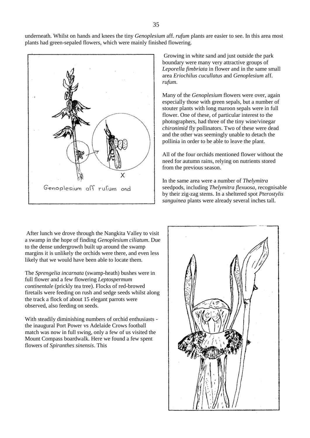underneath. Whilst on hands and knees the tiny *Genoplesium* aff. *rufum* plants are easier to see. In this area most plants had green-sepaled flowers, which were mainly finished flowering.



After lunch we drove through the Nangkita Valley to visit a swamp in the hope of finding *Genoplesium ciliatum*. Due to the dense undergrowth built up around the swamp margins it is unlikely the orchids were there, and even less likely that we would have been able to locate them.

The *Sprengelia incarnata* (swamp-heath) bushes were in full flower and a few flowering *Leptospermum continentale* (prickly tea tree). Flocks of red-browed firetails were feeding on rush and sedge seeds whilst along the track a flock of about 15 elegant parrots were observed, also feeding on seeds.

With steadily diminishing numbers of orchid enthusiasts the inaugural Port Power vs Adelaide Crows football match was now in full swing, only a few of us visited the Mount Compass boardwalk. Here we found a few spent flowers of *Spiranthes sinensis*. This

Growing in white sand and just outside the park boundary were many very attractive groups of *Leporella fimbriata* in flower and in the same small area *Eriochilus cucullatus* and *Genoplesium* aff. *rufum*.

Many of the *Genoplesium* flowers were over, again especially those with green sepals, but a number of stouter plants with long maroon sepals were in full flower. One of these, of particular interest to the photographers, had three of the tiny wine/vinegar *chironimid* fly pollinators. Two of these were dead and the other was seemingly unable to detach the pollinia in order to be able to leave the plant.

All of the four orchids mentioned flower without the need for autumn rains, relying on nutrients stored from the previous season.

In the same area were a number of *Thelymitra* seedpods, including *Thelymitra flexuosa*, recognisable by their zig-zag stems. In a sheltered spot *Pterostylis sanguinea* plants were already several inches tall.

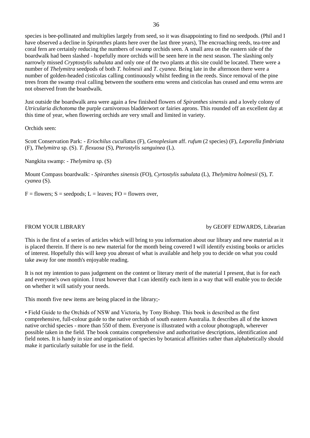species is bee-pollinated and multiplies largely from seed, so it was disappointing to find no seedpods. (Phil and I have observed a decline in *Spiranthes* plants here over the last three years), The encroaching reeds, tea-tree and coral fern are certainly reducing the numbers of swamp orchids seen. A small area on the eastern side of the boardwalk had been slashed - hopefully more orchids will be seen here in the next season. The slashing only narrowly missed *Cryptostylis subulata* and only one of the two plants at this site could be located. There were a number of *Thelymitra* seedpods of both *T. holmesii* and *T. cyanea*. Being late in the afternoon there were a number of golden-headed cisticolas calling continuously whilst feeding in the reeds. Since removal of the pine trees from the swamp rival calling between the southern emu wrens and cisticolas has ceased and emu wrens are not observed from the boardwalk.

Just outside the boardwalk area were again a few finished flowers of *Spiranthes sinensis* and a lovely colony of *Utricularia dichotoma* the purple carnivorous bladderwort or fairies aprons. This rounded off an excellent day at this time of year, when flowering orchids are very small and limited in variety.

Orchids seen:

Scott Conservation Park: - *Eriochilus cucullatus* (F), *Genoplesium* aff. *rufum* (2 species) (F), *Leporella fimbriata* (F), *Thelymitra* sp. (S). *T. flexuosa* (S), *Pterostylis sanguinea* (L).

Nangkita swamp: - *Thelymitra* sp. (S)

Mount Compass boardwalk: - *Spiranthes sinensis* (FO), *Cyrtostylis subulata* (L), *Thelymitra holmesii* (S), *T. cyanea* (S).

 $F =$  flowers;  $S =$  seedpods;  $L =$  leaves;  $FO =$  flowers over,

### FROM YOUR LIBRARY by GEOFF EDWARDS, Librarian

This is the first of a series of articles which will bring to you information about our library and new material as it is placed therein. If there is no new material for the month being covered I will identify existing books or articles of interest. Hopefully this will keep you abreast of what is available and help you to decide on what you could take away for one month's enjoyable reading.

It is not my intention to pass judgement on the content or literary merit of the material I present, that is for each and everyone's own opinion. I trust however that I can identify each item in a way that will enable you to decide on whether it will satisfy your needs.

This month five new items are being placed in the library;-

• Field Guide to the Orchids of NSW and Victoria, by Tony Bishop. This book is described as the first comprehensive, full-colour guide to the native orchids of south eastern Australia. It describes all of the known native orchid species - more than 550 of them. Everyone is illustrated with a colour photograph, wherever possible taken in the field. The book contains comprehensive and authoritative descriptions, identification and field notes. It is handy in size and organisation of species by botanical affinities rather than alphabetically should make it particularly suitable for use in the field.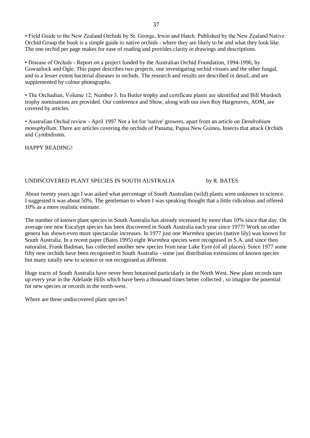• Field Guide to the New Zealand Orchids by St. George, Irwin and Hatch. Published by the New Zealand Native Orchid Group the book is a simple guide to native orchids - where they are likely to be and what they look like. The one orchid per page makes for ease of reading and provides clarity in drawings and descriptions.

• Disease of Orchids - Report on a project funded by the Australian Orchid Foundation, 1994-1996, by Gowanlock and Ogle. This paper describes two projects, one investigating orchid viruses and the other fungal, and to a lesser extent bacterial diseases in orchids. The research and results are described in detail, and are supplemented by colour photographs.

• The Orchadian, Volume 12, Number 3. Ira Butler trophy and certificate plants are identified and Bill Murdoch trophy nominations are provided. Our conference and Show, along with our own Roy Hargreaves, AOM, are covered by articles.

• Australian Orchid review - April 1997 Not a lot for 'native' growers, apart from an article on *Dendrobium monophyllum*. There are articles covering the orchids of Panama, Papua New Guinea, Insects that attack Orchids and Cymbidiums.

HAPPY READING!

# UNDISCOVERED PLANT SPECIES IN SOUTH AUSTRALIA by R. BATES

About twenty years ago I was asked what percentage of South Australian (wild) plants were unknown to science. I suggested it was about 50%. The gentleman to whom I was speaking thought that a little ridiculous and offered 10% as a more realistic estimate.

The number of known plant species in South Australia has already increased by more than 10% since that day. On average one new Eucalypt species has been discovered in South Australia each year since 1977! Work on other genera has shown even more spectacular increases. In 1977 just one *Wurmbea* species (native lily) was known for South Australia. In a recent paper (Bates 1995) eight *Wurmbea* species were recognised in S.A. and since then naturalist, Frank Badman, has collected another new species from near Lake Eyre (of all places). Since 1977 some fifty new orchids have been recognised in South Australia - some just distribution extensions of known species but many totally new to science or not recognised as different.

Huge tracts of South Australia have never been botanised particularly in the North West. New plant records turn up every year in the Adelaide Hills which have been a thousand times better collected , so imagine the potential for new species or records in the north-west.

Where are these undiscovered plant species?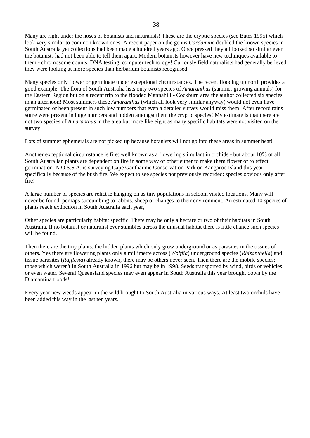Many are right under the noses of botanists and naturalists! These are the cryptic species (see Bates 1995) which look very similar to common known ones. A recent paper on the genus *Cardamine* doubled the known species in South Australia yet collections had been made a hundred years ago. Once pressed they all looked so similar even the botanists had not been able to tell them apart. Modern botanists however have new techniques available to them - chromosome counts, DNA testing, computer technology! Curiously field naturalists had generally believed they were looking at more species than herbarium botanists recognised.

Many species only flower or germinate under exceptional circumstances. The recent flooding up north provides a good example. The flora of South Australia lists only two species of *Amaranthus* (summer growing annuals) for the Eastern Region but on a recent trip to the flooded Mannahill - Cockburn area the author collected six species in an afternoon! Most summers these *Amaranthus* (which all look very similar anyway) would not even have germinated or been present in such low numbers that even a detailed survey would miss them! After record rains some were present in huge numbers and hidden amongst them the cryptic species! My estimate is that there are not two species of *Amaranthus* in the area but more like eight as many specific habitats were not visited on the survey!

Lots of summer ephemerals are not picked up because botanists will not go into these areas in summer heat!

Another exceptional circumstance is fire: well known as a flowering stimulant in orchids - but about 10% of all South Australian plants are dependent on fire in some way or other either to make them flower or to effect germination. N.O.S.S.A. is surveying Cape Ganthaume Conservation Park on Kangaroo Island this year specifically because of the bush fire. We expect to see species not previously recorded: species obvious only after fire!

A large number of species are relict ie hanging on as tiny populations in seldom visited locations. Many will never be found, perhaps succumbing to rabbits, sheep or changes to their environment. An estimated 10 species of plants reach extinction in South Australia each year,

Other species are particularly habitat specific, There may be only a hectare or two of their habitats in South Australia. If no botanist or naturalist ever stumbles across the unusual habitat there is little chance such species will be found.

Then there are the tiny plants, the hidden plants which only grow underground or as parasites in the tissues of others. Yes there are flowering plants only a millimetre across (*Wolffia*) underground species (*Rhizanthella*) and tissue parasites (*Rafflesia*) already known, there may be others never seen. Then there are the mobile species; those which weren't in South Australia in 1996 but may be in 1998. Seeds transported by wind, birds or vehicles or even water. Several Queensland species may even appear in South Australia this year brought down by the Diamantina floods!

Every year new weeds appear in the wild brought to South Australia in various ways. At least two orchids have been added this way in the last ten years.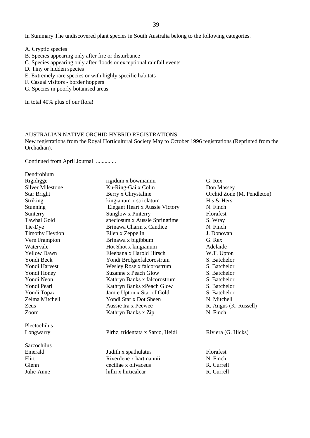In Summary The undiscovered plant species in South Australia belong to the following categories.

- A. Cryptic species
- B. Species appearing only after fire or disturbance
- C. Species appearing only after floods or exceptional rainfall events
- D. Tiny or hidden species
- E. Extremely rare species or with highly specific habitats
- F. Casual visitors border hoppers
- G. Species in poorly botanised areas

In total 40% plus of our flora!

# AUSTRALIAN NATIVE ORCHID HYBRID REGISTRATIONS

New registrations from the Royal Horticultural Society May to October 1996 registrations (Reprinted from the Orchadian).

Continued from April Journal ..............

| Don Massey                 |
|----------------------------|
| Orchid Zone (M. Pendleton) |
| His & Hers                 |
| N. Finch                   |
| Florafest                  |
|                            |
| N. Finch                   |
| J. Donovan                 |
|                            |
| Adelaide                   |
| W.T. Upton                 |
| S. Batchelor               |
| S. Batchelor               |
| S. Batchelor               |
| S. Batchelor               |
| S. Batchelor               |
| S. Batchelor               |
| N. Mitchell                |
| R. Angus (K. Russell)      |
| N. Finch                   |
|                            |
| Riviera (G. Hicks)         |
|                            |
| Florafest                  |
| N. Finch                   |
| R. Currell                 |
|                            |
|                            |